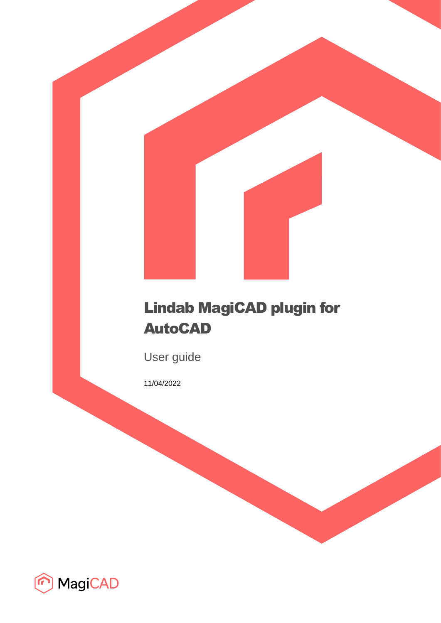

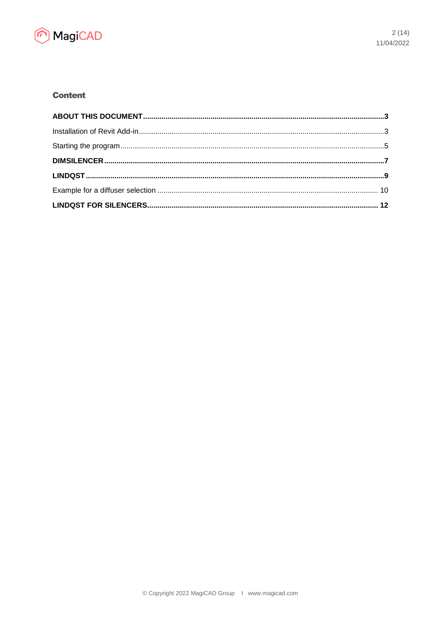

# **Content**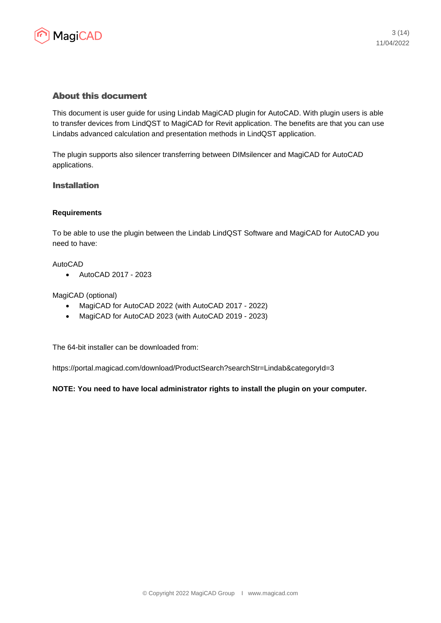

## About this document

This document is user guide for using Lindab MagiCAD plugin for AutoCAD. With plugin users is able to transfer devices from LindQST to MagiCAD for Revit application. The benefits are that you can use Lindabs advanced calculation and presentation methods in LindQST application.

The plugin supports also silencer transferring between DIMsilencer and MagiCAD for AutoCAD applications.

## Installation

#### **Requirements**

To be able to use the plugin between the Lindab LindQST Software and MagiCAD for AutoCAD you need to have:

#### AutoCAD

• AutoCAD 2017 - 2023

#### MagiCAD (optional)

- MagiCAD for AutoCAD 2022 (with AutoCAD 2017 2022)
- MagiCAD for AutoCAD 2023 (with AutoCAD 2019 2023)

The 64-bit installer can be downloaded from:

https://portal.magicad.com/download/ProductSearch?searchStr=Lindab&categoryId=3

**NOTE: You need to have local administrator rights to install the plugin on your computer.**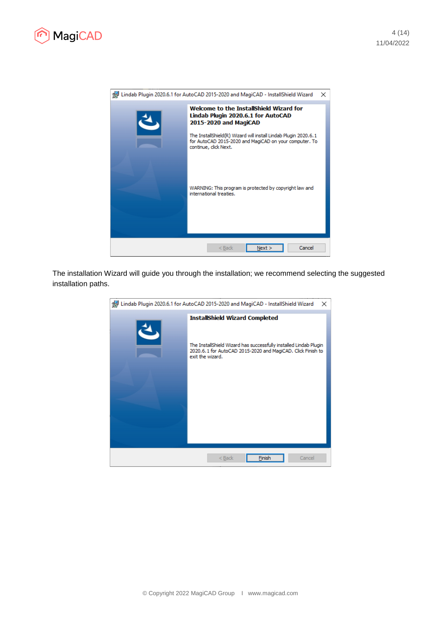



The installation Wizard will guide you through the installation; we recommend selecting the suggested installation paths.

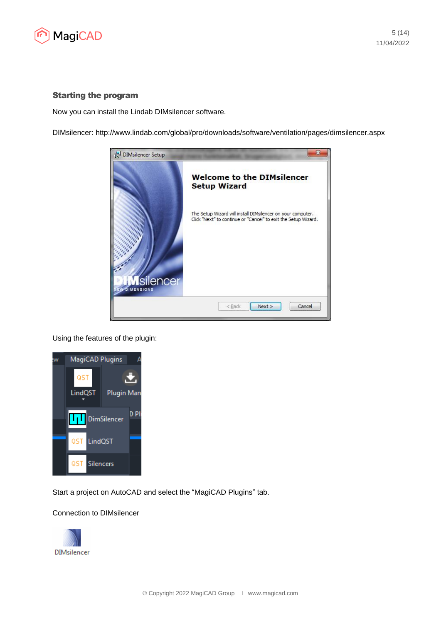

#### Starting the program

Now you can install the Lindab DIMsilencer software.

DIMsilencer: http://www.lindab.com/global/pro/downloads/software/ventilation/pages/dimsilencer.aspx



Using the features of the plugin:



Start a project on AutoCAD and select the "MagiCAD Plugins" tab.

#### Connection to DIMsilencer

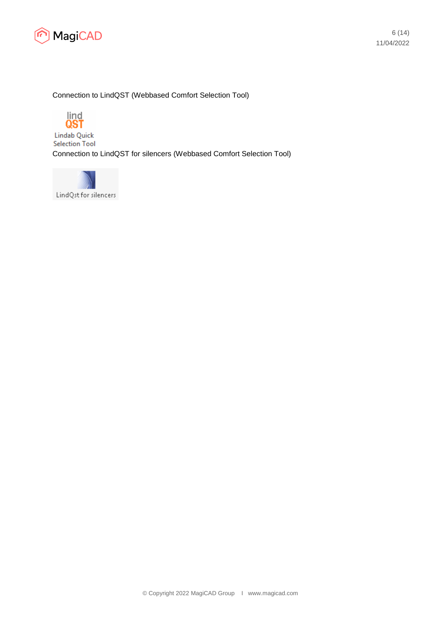

### Connection to LindQST (Webbased Comfort Selection Tool)



**Lindab Quick Selection Tool** Connection to LindQST for silencers (Webbased Comfort Selection Tool)

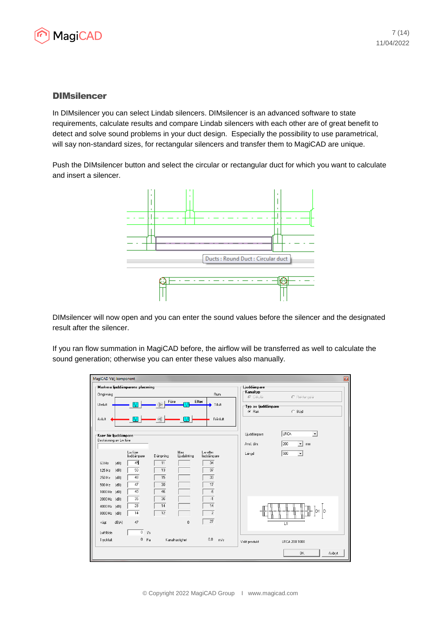

## **DIMsilencer**

In DIMsilencer you can select Lindab silencers. DIMsilencer is an advanced software to state requirements, calculate results and compare Lindab silencers with each other are of great benefit to detect and solve sound problems in your duct design. Especially the possibility to use parametrical, will say non-standard sizes, for rectangular silencers and transfer them to MagiCAD are unique.

Push the DIMsilencer button and select the circular or rectangular duct for which you want to calculate and insert a silencer.



DIMsilencer will now open and you can enter the sound values before the silencer and the designated result after the silencer.

If you ran flow summation in MagiCAD before, the airflow will be transferred as well to calculate the sound generation; otherwise you can enter these values also manually.

| MagiCAD Välj komponent        |                                 |          |                                     |                         | B                                                    |
|-------------------------------|---------------------------------|----------|-------------------------------------|-------------------------|------------------------------------------------------|
|                               | Markera ljuddämparens placering |          |                                     |                         | Ljuddämpare                                          |
| Omgivning                     |                                 |          |                                     | Rum                     | Kanaltyp <sup>-</sup><br>C Rektangulär<br>C Cirkulär |
| <b>Uteluft</b>                |                                 | Före     |                                     | Efter<br>Tilluft        | Typ av ljuddämpare<br>$\subset$ Böjd<br>C Rak        |
| Avluft                        |                                 |          |                                     | Frånluft                |                                                      |
| Krav för ljuddämpare          |                                 |          |                                     |                         | LRCA<br>Ljuddämpare<br>٠                             |
| Beskrivning av Lw före        |                                 |          |                                     |                         | 200<br>$\blacktriangledown$<br>Ansl. dim:<br>mm      |
|                               | Lw fore<br>ljuddämpare          | Dämpning | Max<br>Ljudalstring                 | Lw efter<br>ljuddämpare | 500<br>$\blacktriangledown$<br>Längd                 |
| 63 Hz<br>(dB)                 | 45                              | 11       |                                     | 34                      |                                                      |
| (dB)<br>125 Hz                | 50                              | 13       |                                     | 37                      |                                                      |
| 250 Hz<br>[dB]                | 48                              | 15       |                                     | $\overline{33}$         |                                                      |
| (dB)<br>500 Hz                | $\overline{47}$                 | 30       |                                     | 17                      |                                                      |
| 1000 Hz (dB)                  | 40                              | 46       |                                     | $-6$                    |                                                      |
| 2000 Hz (dB)                  | 35<br>28                        | 36<br>14 |                                     | $\overline{1}$<br>14    |                                                      |
| 4000 Hz (dB)                  | 14                              | 12       |                                     | $\overline{c}$          | ID<br>D                                              |
| 8000 Hz (dB)<br>dB(A)<br>vägt | 47                              |          | $\begin{array}{c} 0 \\ \end{array}$ | 27                      | L1                                                   |
| Luftflöde                     | $\overline{0}$<br>1/s           |          |                                     |                         |                                                      |
| Tryckfall:                    | $0$ $Pa$                        |          | Kanalhastighet                      | 0.0<br>m/s              | Vald produkt<br>LRCA 200 1000                        |
|                               |                                 |          |                                     |                         | <b>OK</b><br>Avbryt                                  |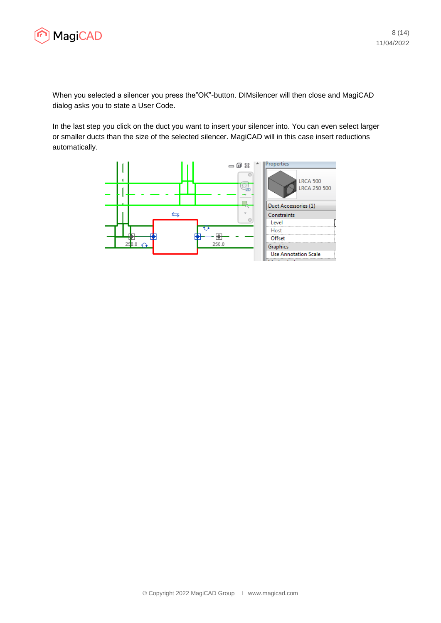

When you selected a silencer you press the"OK"-button. DIMsilencer will then close and MagiCAD dialog asks you to state a User Code.

In the last step you click on the duct you want to insert your silencer into. You can even select larger or smaller ducts than the size of the selected silencer. MagiCAD will in this case insert reductions automatically.

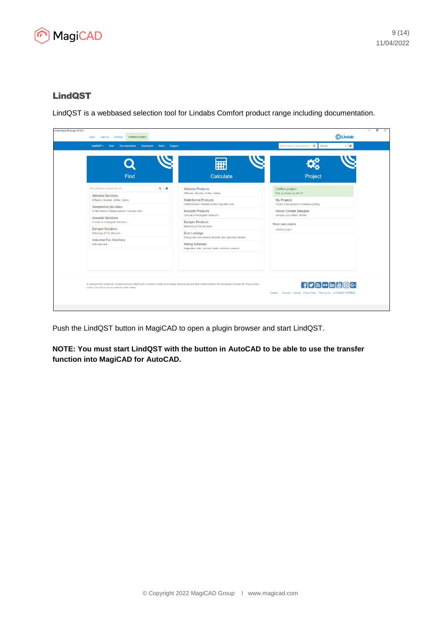

# LindQST

LindQST is a webbased selection tool for Lindabs Comfort product range including documentation.

| Find                                                                        | Calculate                                                                                                                                                                               | Project                                                |
|-----------------------------------------------------------------------------|-----------------------------------------------------------------------------------------------------------------------------------------------------------------------------------------|--------------------------------------------------------|
| find products, documents etc.                                               | $Q$ $\blacksquare$<br><b>Airborne Products</b><br>Diffusers. Nozzles. Grilles. Valves                                                                                                   | <b>Untitled project</b><br>Pick up where you left off  |
| <b>Airborne Solutions</b><br>Diffusers, Nozzles, Grilles, Valves            | <b>Waterborne Products</b><br>Chilled beams, Radiant panels, Fascade units                                                                                                              | My Projects<br>Create a new project or manage existing |
| <b>Waterborne Solutions</b><br>Chilled beams, Radiant panels, Fascade units | <b>Acoustic Products</b>                                                                                                                                                                | <b>Indoor Climate Designer</b>                         |
| <b>Acoustic Solutions</b><br>Circular & rectangular Silencers               | Circular & rectangular Silencers<br><b>Damper Products</b>                                                                                                                              | Simulate your indoor climate<br>Recent open projects   |
| <b>Damper Solutions</b><br>Balancing & Fire dampers                         | Balancing & Fire dampers<br>Duct Leakage                                                                                                                                                | <b>Untitled project</b>                                |
| <b>Industrial Fan Solutions</b><br><b>Industrial fans</b>                   | Energy and cost benefits between duct tightness classes<br><b>Wiring Schemes</b><br>Regulation units, connect cards, actuators, sensors                                                 |                                                        |
|                                                                             |                                                                                                                                                                                         |                                                        |
|                                                                             |                                                                                                                                                                                         |                                                        |
| Lindab if you wish to use our material in other matters.                    | Copyright 2020, Lindab AB. All rights reserved. lindQST.com is owned by Lindab AB all images, technical data and other material found on this site belongs to Lindab AB. Please contact |                                                        |

Push the LindQST button in MagiCAD to open a plugin browser and start LindQST.

**NOTE: You must start LindQST with the button in AutoCAD to be able to use the transfer function into MagiCAD for AutoCAD.**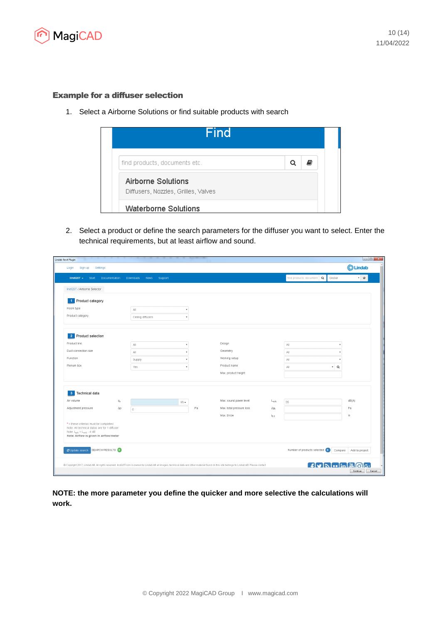

### Example for a diffuser selection

1. Select a Airborne Solutions or find suitable products with search



2. Select a product or define the search parameters for the diffuser you want to select. Enter the technical requirements, but at least airflow and sound.

| Sign up<br>Settings<br>Login                                                                                                                                       |                         |                              |               |                                                                                                                                                                                           |                 |                                       | CLindab                |
|--------------------------------------------------------------------------------------------------------------------------------------------------------------------|-------------------------|------------------------------|---------------|-------------------------------------------------------------------------------------------------------------------------------------------------------------------------------------------|-----------------|---------------------------------------|------------------------|
| $lindOST -$<br>Start                                                                                                                                               | Documentation           | Downloads<br>Support<br>News |               |                                                                                                                                                                                           |                 | find products, document   Q<br>Global | $\sqrt{ }$             |
| lindQST / Airborne Selector                                                                                                                                        |                         |                              |               |                                                                                                                                                                                           |                 |                                       |                        |
| Product category<br>1 <sup>1</sup>                                                                                                                                 |                         |                              |               |                                                                                                                                                                                           |                 |                                       |                        |
| Room type                                                                                                                                                          |                         | $\mathbb{A}\mathbb{II}$      |               |                                                                                                                                                                                           |                 |                                       |                        |
| Product category                                                                                                                                                   |                         | Ceiling diffusers            |               |                                                                                                                                                                                           |                 |                                       |                        |
|                                                                                                                                                                    |                         |                              |               |                                                                                                                                                                                           |                 |                                       |                        |
| 2 Product selection<br>Product line                                                                                                                                |                         | $\mathbb{A}\mathbb{I}$       |               | Design                                                                                                                                                                                    |                 | All                                   |                        |
| Duct connection size                                                                                                                                               |                         | $A\parallel$                 |               | Geometry                                                                                                                                                                                  |                 | All                                   |                        |
| Function                                                                                                                                                           |                         | Supply                       |               | Working setup                                                                                                                                                                             |                 | All                                   |                        |
| Plenum box                                                                                                                                                         |                         | Yes                          |               | Product name                                                                                                                                                                              |                 | $\cdot$ Q<br>All                      |                        |
|                                                                                                                                                                    |                         |                              |               | Max. product height                                                                                                                                                                       |                 |                                       |                        |
| 3 Technical data                                                                                                                                                   |                         |                              |               |                                                                                                                                                                                           |                 |                                       |                        |
| Air volume                                                                                                                                                         | $\mathbb{Q}_\mathbb{V}$ |                              | $1/s$ $\star$ | Max. sound power level                                                                                                                                                                    | L <sub>WA</sub> | 35                                    | dB(A)                  |
| Adjustment pressure                                                                                                                                                | $\triangle \mathsf{p}$  | $\circ$                      | Pa            | Max. total pressure loss                                                                                                                                                                  | $\triangle Pt$  |                                       | Pa                     |
|                                                                                                                                                                    |                         |                              |               | Max. throw                                                                                                                                                                                | 10.2            |                                       | m                      |
| * = these criterias must be completed<br>Note: All technical datas are for 1 diffuser<br>Note: $L_{pA} = L_{wA} - 4$ dB<br>Note: Airflow is given in airflow/meter |                         |                              |               |                                                                                                                                                                                           |                 |                                       |                        |
| C Update search SEARCH RESULTS: 0                                                                                                                                  |                         |                              |               |                                                                                                                                                                                           |                 | Number of products selected: 0        | Compare Add to project |
|                                                                                                                                                                    |                         |                              |               | @ Copyright 2017, Lindab AB. All rights reserved. lindQST.com is owned by Lindab AB all images, technical data and other material found on this site belongs to Lindab AB. Please contact |                 | <b>Hy Norm &amp; Giga</b>             |                        |

**NOTE: the more parameter you define the quicker and more selective the calculations will work.**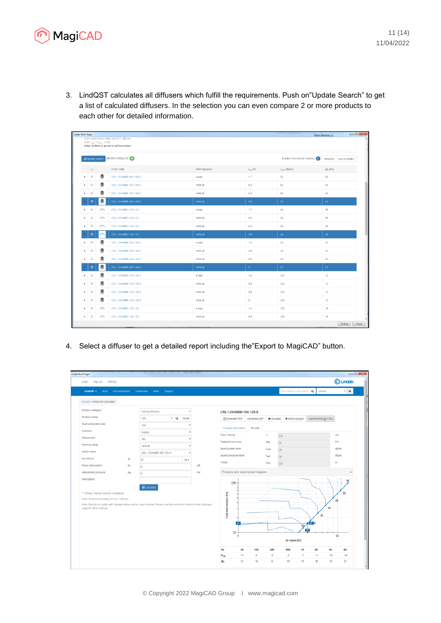

3. LindQST calculates all diffusers which fulfill the requirements. Push on"Update Search" to get a list of calculated diffusers. In the selection you can even compare 2 or more products to each other for detailed information.

| Lindab Revit Plugin   |                                                                         |                                              |                                                                                         |               |                         |                  | <b>WIND WORK &amp; I</b> |
|-----------------------|-------------------------------------------------------------------------|----------------------------------------------|-----------------------------------------------------------------------------------------|---------------|-------------------------|------------------|--------------------------|
|                       |                                                                         | Note: $L_{\text{pA}} = L_{\text{WA}} - 4$ dB | Note: All technical datas are for 1 diffuser<br>Note: Airflow is given in airflow/meter |               |                         |                  |                          |
|                       | C Update search                                                         | Number of products selected: 8               | Compare Add to project                                                                  |               |                         |                  |                          |
|                       | $\qquad \qquad \Box$                                                    |                                              | Order code                                                                              | Working setup | $L_{02}$ [m]            | $L_{wA}$ [dB(A)] | $\Delta p_t$ [Pa]        |
| к                     | $\qquad \qquad \qquad \qquad \qquad \qquad \qquad$                      | ▣                                            | CRL-100+MBB-100-100-S                                                                   | 4-way         | 1.7                     | 35               | 44                       |
| ٠                     | $\qquad \qquad \qquad \qquad \qquad \qquad \qquad \qquad \qquad$        | o                                            | CRL-100+MBB-100-100-S                                                                   | Vertical      | 5.3                     | 35               | 44                       |
| ٠                     | $\qquad \qquad \qquad \qquad \qquad \qquad \qquad \qquad \qquad$        | ₫                                            | CRL-100+MBB-100-100-S                                                                   | Vertical      | 4.3                     | 35               | 44                       |
|                       | $\blacksquare$                                                          | ₿                                            | CRL-100+MBB-100-100-S                                                                   | Vertical      | 3.8                     | 35               | 44                       |
| ٠                     | $\qquad \qquad \qquad \qquad \qquad \qquad \qquad \qquad \qquad \qquad$ | in,                                          | CRL-100+MBC-100-100                                                                     | 4-way         | 1.7                     | 24               | 38                       |
| ×                     | $\qquad \qquad \qquad \qquad \qquad \qquad \qquad \qquad \qquad \qquad$ | e‰                                           | CRL-100+MBC-100-100                                                                     | Vertical      | 5.3                     | 24               | 38                       |
| $\blacktriangleright$ | $\qquad \qquad \Box$                                                    | A                                            | CRL-100+MBC-100-100                                                                     | Vertical      | 4.3                     | 24               | 38                       |
|                       | $\blacksquare$                                                          | A                                            | CRL-100+MBC-100-100                                                                     | Vertical      | 3.8                     | 24               | 38                       |
| ٠                     | $\qquad \qquad \Box$                                                    | ₫                                            | CRL-125+MBB-100-125-S                                                                   | 4-way         | 1.4                     | 28               | 31                       |
| ٠                     | $\qquad \qquad \qquad \qquad \qquad \qquad \qquad \qquad \qquad \qquad$ | o                                            | CRL-125+MBB-100-125-S                                                                   | Vertical      | 3.9                     | 28               | 31                       |
| ٠                     | $\qquad \qquad \qquad \qquad \qquad \qquad \qquad \qquad \qquad \qquad$ | ₿                                            | CRL-125+MBB-100-125-S                                                                   | Vertical      | 3.5                     | 28               | 31                       |
|                       | $\blacksquare$                                                          | o                                            | CRL-125+MBB-100-125-S                                                                   | Vertical      | $\overline{\mathbf{3}}$ | 28               | 31                       |
| ٠                     |                                                                         | o                                            | CRL-125+MBB-125-125-S                                                                   | 4-way         | 1.4                     | < 20             | 12                       |
| ٠                     | $\qquad \qquad \qquad \qquad \qquad \qquad \qquad \qquad \qquad \qquad$ | o                                            | CRL-125+MBB-125-125-S                                                                   | Vertical      | 3.9                     | < 20             | 12                       |
| ×                     | $\qquad \qquad \qquad \qquad \qquad \qquad \qquad \qquad \qquad$        | ▣                                            | CRL-125+MBB-125-125-S                                                                   | Vertical      | 3.5                     | < 20             | 12                       |
| $\blacktriangleright$ | $\qquad \qquad \Box$                                                    | o                                            | CRL-125+MBB-125-125-S                                                                   | Vertical      | $\mathbf{3}$            | < 20             | 12                       |
| ٠                     |                                                                         | in 1976.                                     | CRL-125+MBC-100-125                                                                     | 4-way         | 1.4                     | < 20             | 18                       |
| ٠                     | $\qquad \qquad \qquad \qquad \qquad \qquad \qquad$                      | in.                                          | CRL-125+MBC-100-125                                                                     | Vertical      | 3.9                     | < 20             | 18                       |

4. Select a diffuser to get a detailed report including the"Export to MagiCAD" button.

| Lindab Revit Plugin<br>Sign up<br>Settings<br>Login                                                                                                                                                                                                      |               |                          |           |     |    |                                                                      |                   |              |                      |                                  |         |                                    | <b>OLindab</b> | $\begin{array}{c c c c c c} \hline \multicolumn{3}{c }{\multicolumn{3}{c }{\multicolumn{3}{c }{\multicolumn{3}{c }{\multicolumn{3}{c }{\multicolumn{3}{c }{\multicolumn{3}{c }{\multicolumn{3}{c }{\multicolumn{3}{c }{\multicolumn{3}{c }{\multicolumn{3}{c }{\multicolumn{3}{c }{\multicolumn{3}{c }{\multicolumn{3}{c }{\multicolumn{3}{c }{\multicolumn{3}{c }{\multicolumn{3}{c }{\multicolumn{3}{c }{\multicolumn{3}{c }{\multicolumn{3}{c }{$ |
|----------------------------------------------------------------------------------------------------------------------------------------------------------------------------------------------------------------------------------------------------------|---------------|--------------------------|-----------|-----|----|----------------------------------------------------------------------|-------------------|--------------|----------------------|----------------------------------|---------|------------------------------------|----------------|------------------------------------------------------------------------------------------------------------------------------------------------------------------------------------------------------------------------------------------------------------------------------------------------------------------------------------------------------------------------------------------------------------------------------------------------------|
| lindOST +<br>Start -                                                                                                                                                                                                                                     | Documentation | <b>Downloads</b><br>News | Support   |     |    |                                                                      |                   |              |                      | find products, document Q Global |         |                                    |                | $\cdot$ $\circ$                                                                                                                                                                                                                                                                                                                                                                                                                                      |
| IndQST / Airborne Calculator                                                                                                                                                                                                                             |               |                          |           |     |    |                                                                      |                   |              |                      |                                  |         |                                    |                |                                                                                                                                                                                                                                                                                                                                                                                                                                                      |
| Product category                                                                                                                                                                                                                                         |               | Ceiling diffusers        |           |     |    | CRL-125+MBB-100-125-S                                                |                   |              |                      |                                  |         |                                    |                |                                                                                                                                                                                                                                                                                                                                                                                                                                                      |
| Product name                                                                                                                                                                                                                                             |               | CRL                      | * Q Reset |     |    | <b>A</b> Generate PDF                                                |                   | Generate DVF |                      | · Visualize + Add to project     |         | Export to MagiCAD                  |                |                                                                                                                                                                                                                                                                                                                                                                                                                                                      |
| Duct connection size                                                                                                                                                                                                                                     |               | 100                      |           |     |    |                                                                      |                   |              |                      |                                  |         |                                    |                |                                                                                                                                                                                                                                                                                                                                                                                                                                                      |
| Function                                                                                                                                                                                                                                                 |               | Supply                   |           |     |    | Product information                                                  |                   | Results      |                      |                                  |         |                                    |                |                                                                                                                                                                                                                                                                                                                                                                                                                                                      |
| Plenum box                                                                                                                                                                                                                                               |               | Yes                      |           |     |    | Face velocity                                                        |                   |              | ٧<br>2.6             |                                  |         |                                    | m/s            |                                                                                                                                                                                                                                                                                                                                                                                                                                                      |
| Working setup                                                                                                                                                                                                                                            |               | Vertical                 |           |     |    | Total pressure loss                                                  |                   |              | $\triangle$ Pe<br>31 |                                  |         |                                    | Pa             |                                                                                                                                                                                                                                                                                                                                                                                                                                                      |
| Article name                                                                                                                                                                                                                                             |               | CRL-125+MBB-100-125-S    |           |     |    |                                                                      | Sound power level |              | LwA<br>28            |                                  |         | dB(A)                              |                |                                                                                                                                                                                                                                                                                                                                                                                                                                                      |
| Air volume                                                                                                                                                                                                                                               | $q_{\nu}$     | 25                       |           | vs. |    | Sound pressure level                                                 |                   |              | Lot                  | $28\,$                           |         |                                    | dB(A)<br>m     |                                                                                                                                                                                                                                                                                                                                                                                                                                                      |
| Room attenuation                                                                                                                                                                                                                                         | D,            | o                        |           |     | dB | Throw                                                                |                   |              | $L_{0.2}$<br>39      |                                  |         |                                    |                |                                                                                                                                                                                                                                                                                                                                                                                                                                                      |
| Adjustment pressure                                                                                                                                                                                                                                      | Δр            | $\Box$                   |           |     | Pa | Pressure and sound power diagram                                     |                   |              |                      |                                  |         |                                    | $\sim$         |                                                                                                                                                                                                                                                                                                                                                                                                                                                      |
| Description<br>* = these criterias must be completed<br>Note: All technical datas are for 1 diffuser<br>Note: Results for grilles with damper option are for open damper. Please use the correction factors in the catalogue<br>page for other settings. |               | Calculate                |           |     |    | 200<br>$\overline{\mathbb{R}}$<br>Total pressure loss<br>$20 -$<br>5 |                   |              |                      | Air volume [Vs]                  | ভ<br>25 | 40<br>$\overline{\boldsymbol{35}}$ | 50<br>45<br>50 | 56                                                                                                                                                                                                                                                                                                                                                                                                                                                   |
|                                                                                                                                                                                                                                                          |               |                          |           |     |    | Hz                                                                   | 63                | 125          | 250                  | 500                              | 1K      | 2K<br>4K                           |                | 8K                                                                                                                                                                                                                                                                                                                                                                                                                                                   |
|                                                                                                                                                                                                                                                          |               |                          |           |     |    | $K_{\rm cck}$                                                        | 13                | 8            | 3                    | $-5$                             | $-7$    | $-11$<br>$-15$                     | $-19$          |                                                                                                                                                                                                                                                                                                                                                                                                                                                      |
|                                                                                                                                                                                                                                                          |               |                          |           |     |    | ΔL.                                                                  | 21                | 16           | 6                    | 18                               | 19      | 18<br>19                           |                | 21                                                                                                                                                                                                                                                                                                                                                                                                                                                   |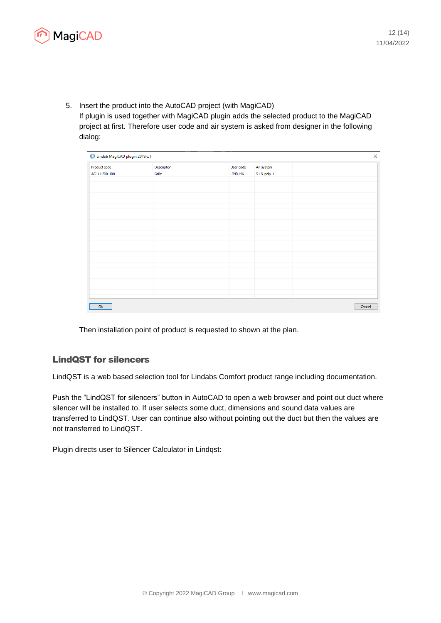

5. Insert the product into the AutoCAD project (with MagiCAD) If plugin is used together with MagiCAD plugin adds the selected product to the MagiCAD project at first. Therefore user code and air system is asked from designer in the following dialog:

|                               | Lindab MagiCAD plugin 2019.6.1<br>$\times$ |                             |                           |        |  |  |  |  |  |  |
|-------------------------------|--------------------------------------------|-----------------------------|---------------------------|--------|--|--|--|--|--|--|
| Product code<br>AC-11-200-100 | Description<br>Grille                      | User code<br><b>LIND146</b> | Air system<br>S1 Supply 1 |        |  |  |  |  |  |  |
|                               |                                            |                             |                           |        |  |  |  |  |  |  |
|                               |                                            |                             |                           |        |  |  |  |  |  |  |
|                               |                                            |                             |                           |        |  |  |  |  |  |  |
|                               |                                            |                             |                           |        |  |  |  |  |  |  |
|                               |                                            |                             |                           |        |  |  |  |  |  |  |
|                               |                                            |                             |                           |        |  |  |  |  |  |  |
|                               |                                            |                             |                           |        |  |  |  |  |  |  |
|                               |                                            |                             |                           |        |  |  |  |  |  |  |
|                               |                                            |                             |                           |        |  |  |  |  |  |  |
|                               |                                            |                             |                           |        |  |  |  |  |  |  |
|                               |                                            |                             |                           |        |  |  |  |  |  |  |
| Ok                            |                                            |                             |                           | Cancel |  |  |  |  |  |  |

Then installation point of product is requested to shown at the plan.

## LindQST for silencers

LindQST is a web based selection tool for Lindabs Comfort product range including documentation.

Push the "LindQST for silencers" button in AutoCAD to open a web browser and point out duct where silencer will be installed to. If user selects some duct, dimensions and sound data values are transferred to LindQST. User can continue also without pointing out the duct but then the values are not transferred to LindQST.

Plugin directs user to Silencer Calculator in Lindqst: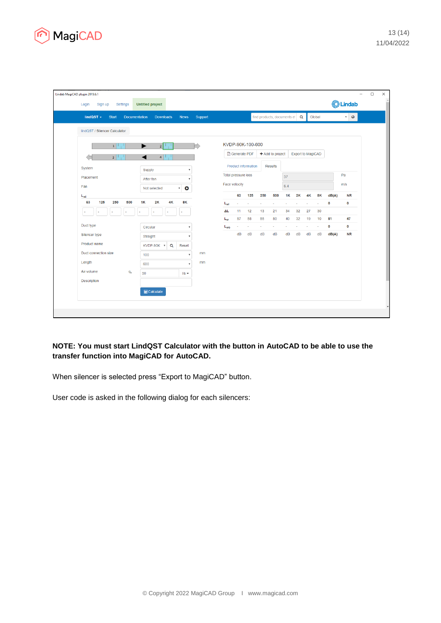

| lindQST $\sim$<br><b>Start</b><br><b>Documentation</b> | <b>Downloads</b>    |                           | Support<br><b>News</b> |                                       |                            |                            | find products, documents et $\boxed{\mathbf{Q}}$ |                          |                          |          |                   | Global   |           | $\mathbf{v}$ 0 |
|--------------------------------------------------------|---------------------|---------------------------|------------------------|---------------------------------------|----------------------------|----------------------------|--------------------------------------------------|--------------------------|--------------------------|----------|-------------------|----------|-----------|----------------|
| lindQST / Silencer Calculator                          |                     |                           |                        |                                       |                            |                            |                                                  |                          |                          |          |                   |          |           |                |
| 1                                                      | 2 <sup>1</sup><br>► |                           |                        |                                       |                            | KVDP-90K-100-600           |                                                  |                          |                          |          |                   |          |           |                |
| 3 <sup>7</sup>                                         | ◢<br>4              |                           |                        |                                       | <b>A</b> Generate PDF      |                            | + Add to project                                 |                          |                          |          | Export to MagiCAD |          |           |                |
| System                                                 | Supply              |                           | ٠                      |                                       |                            | <b>Product information</b> |                                                  | <b>Results</b>           |                          |          |                   |          |           |                |
| Placement                                              | After fan           |                           | ٠                      |                                       | <b>Total pressure loss</b> |                            |                                                  |                          | 37                       |          |                   |          |           | Pa             |
| Fan                                                    | Not selected        | $\boldsymbol{\mathrm{v}}$ | $\bullet$              |                                       | Face velocity              |                            |                                                  |                          | 6.4                      |          |                   |          |           | m/s            |
| $L_{wi}$                                               |                     |                           |                        |                                       | 63                         | 125                        | 250                                              | 500                      | <b>1K</b>                | 2K       | <b>4K</b>         | 8K       | dB(A)     | <b>NR</b>      |
| 63<br>125<br>250<br>500                                | 1K<br><b>2K</b>     | 4K                        | <b>8K</b>              | L <sub>wi</sub>                       | ×                          | ×                          | ×                                                | ٠                        | ×,                       | ×,       | ٠                 | ٠        | 0         | $\circ$        |
| ÷,                                                     |                     |                           |                        | ΔL                                    | 11<br>57                   | 12<br>58                   | 13<br>55                                         | 21<br>50                 | 34<br>40                 | 32<br>32 | 27<br>19          | 30<br>10 | 51        | 47             |
| Duct type                                              | Circular            |                           | ٠                      | $\mathsf{L}_{\mathsf{w}}$<br>$L_{wo}$ | ä,                         | ä,                         | $\mathcal{L}_{\mathcal{A}}$                      | $\overline{\phantom{a}}$ | $\overline{\phantom{a}}$ | à,       | ÷.                | $\sim$   | $\bullet$ | $\mathbf 0$    |
| Silencer type                                          | Straight            |                           | v                      |                                       | dB                         | dB                         | dB                                               | dB                       | dB                       | dB       | dB                | dB       | dB(A)     | <b>NR</b>      |
| Product name                                           | KVDP-90K v          | $\alpha$                  | Reset                  |                                       |                            |                            |                                                  |                          |                          |          |                   |          |           |                |
| Duct connection size                                   | 100                 |                           | mm                     |                                       |                            |                            |                                                  |                          |                          |          |                   |          |           |                |
| Length                                                 | 600                 |                           | mm                     |                                       |                            |                            |                                                  |                          |                          |          |                   |          |           |                |
| Air volume<br>$q_v$                                    | 50                  |                           | $\frac{1}{s}$          |                                       |                            |                            |                                                  |                          |                          |          |                   |          |           |                |
| <b>Description</b>                                     |                     |                           |                        |                                       |                            |                            |                                                  |                          |                          |          |                   |          |           |                |
|                                                        | <b></b> Calculate   |                           |                        |                                       |                            |                            |                                                  |                          |                          |          |                   |          |           |                |

**NOTE: You must start LindQST Calculator with the button in AutoCAD to be able to use the transfer function into MagiCAD for AutoCAD.** 

When silencer is selected press "Export to MagiCAD" button.

User code is asked in the following dialog for each silencers: